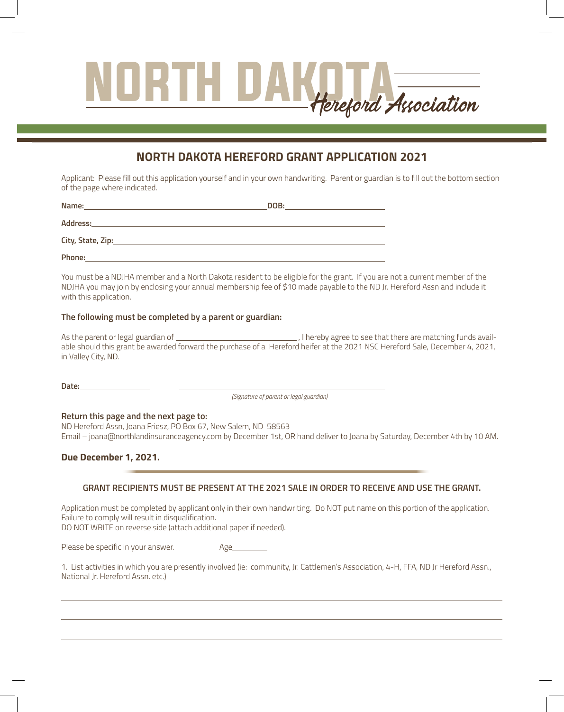# Hereford Association

# **NORTH DAKOTA HEREFORD GRANT APPLICATION 2021**

Applicant: Please fill out this application yourself and in your own handwriting. Parent or guardian is to fill out the bottom section of the page where indicated. Annual dues for Purebred and Commercial Breeders.

| Name:             | DOB: |  |
|-------------------|------|--|
| <b>Address:</b>   |      |  |
| City, State, Zip: |      |  |
| Phone:            |      |  |

You must be a NDJHA member and a North Dakota resident to be eligible for the grant. If you are not a current member of the NDJHA you may join by enclosing your annual membership fee of \$10 made payable to the ND Jr. Hereford Assn and include it with this application.  $\overline{\phantom{a}}$ You must be a NDJHA member and a North Dakota resident to be eligible for the grant. If you are not a current member of the

## **The following must be completed by a parent or guardian:**

\_, I hereby agree to see that there are matching funds available should this grant be awarded forward the purchase of a Hereford heifer at the 2021 NSC Hereford Sale, December 4, 2021,<br>in Valley City, ND. in Valley City, ND. As the parent or legal guardian of

**Date:** State: Zip:

L

*(Signature of parent or legal guardian)*

# **Return this page and the next page to:** Cell Phone:

ND Hereford Assn, Joana Friesz, PO Box 67, New Salem, ND 58563 Email – joana@northlandinsuranceagency.com by December 1st, OR hand deliver to Joana by Saturday, December 4th by 10 AM.

# Due December 1, 2021.

## **GRANT RECIPIENTS MUST BE PRESENT AT THE 2021 SALE IN ORDER TO RECEIVE AND USE THE GRANT.**

**\$10 per Junior**

*Make check payable to NDJHA and send to:*

6001 226th NW

Application must be completed by applicant only in their own handwriting. Do NOT put name on this portion of the application. Failure to comply will result in disqualification. randre to comply will result in disqualification.<br>DO NOT WRITE on reverse side (attach additional paper if needed).

Full Page Black and White ..........\$175

NDHA Member.................................\$240 Non-Member .................................. \$300

Commercial Breeders ...................\$20

| Please be specific in your answer. | Age |
|------------------------------------|-----|
|------------------------------------|-----|

1. List activities in which you are presently involved (ie: community, Jr. Cattlemen's Association, 4-H, FFA, ND Jr Hereford Assn., National Jr. Hereford Assn. etc.)